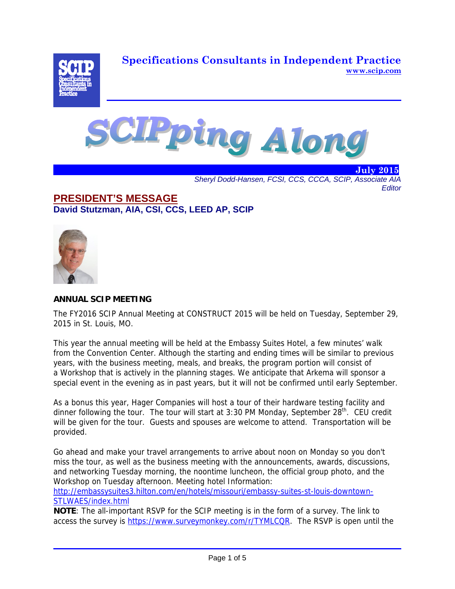**Specifications Consultants in Independent Practice www.scip.com**





. The second contract  $\sim$  10  $\mu$  m  $\sim$  10  $\mu$  m  $\sim$  10  $\mu$  m  $\sim$   $\mu$   $\sim$   $\mu$ *Sheryl Dodd-Hansen, FCSI, CCS, CCCA, SCIP, Associate AIA Editor* 

# **PRESIDENT'S MESSAGE David Stutzman, AIA, CSI, CCS, LEED AP, SCIP**



## **ANNUAL SCIP MEETING**

The FY2016 SCIP Annual Meeting at CONSTRUCT 2015 will be held on Tuesday, September 29, 2015 in St. Louis, MO.

This year the annual meeting will be held at the Embassy Suites Hotel, a few minutes' walk from the Convention Center. Although the starting and ending times will be similar to previous years, with the business meeting, meals, and breaks, the program portion will consist of a Workshop that is actively in the planning stages. We anticipate that Arkema will sponsor a special event in the evening as in past years, but it will not be confirmed until early September.

As a bonus this year, Hager Companies will host a tour of their hardware testing facility and dinner following the tour. The tour will start at 3:30 PM Monday, September  $28<sup>th</sup>$ . CEU credit will be given for the tour. Guests and spouses are welcome to attend. Transportation will be provided.

Go ahead and make your travel arrangements to arrive about noon on Monday so you don't miss the tour, as well as the business meeting with the announcements, awards, discussions, and networking Tuesday morning, the noontime luncheon, the official group photo, and the Workshop on Tuesday afternoon. Meeting hotel Information:

http://embassysuites3.hilton.com/en/hotels/missouri/embassy-suites-st-louis-downtown-STLWAES/index.html

**NOTE**: The all-important RSVP for the SCIP meeting is in the form of a survey. The link to access the survey is https://www.surveymonkey.com/r/TYMLCQR. The RSVP is open until the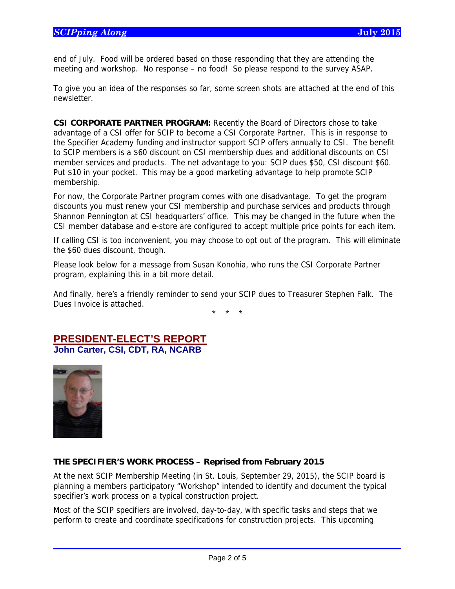end of July. Food will be ordered based on those responding that they are attending the meeting and workshop. No response – no food! So please respond to the survey ASAP.

To give you an idea of the responses so far, some screen shots are attached at the end of this newsletter.

**CSI CORPORATE PARTNER PROGRAM:** Recently the Board of Directors chose to take advantage of a CSI offer for SCIP to become a CSI Corporate Partner. This is in response to the Specifier Academy funding and instructor support SCIP offers annually to CSI. The benefit to SCIP members is a \$60 discount on CSI membership dues and additional discounts on CSI member services and products. The net advantage to you: SCIP dues \$50, CSI discount \$60. Put \$10 in your pocket. This may be a good marketing advantage to help promote SCIP membership.

For now, the Corporate Partner program comes with one disadvantage. To get the program discounts you must renew your CSI membership and purchase services and products through Shannon Pennington at CSI headquarters' office. This may be changed in the future when the CSI member database and e-store are configured to accept multiple price points for each item.

If calling CSI is too inconvenient, you may choose to opt out of the program. This will eliminate the \$60 dues discount, though.

Please look below for a message from Susan Konohia, who runs the CSI Corporate Partner program, explaining this in a bit more detail.

And finally, here's a friendly reminder to send your SCIP dues to Treasurer Stephen Falk. The Dues Invoice is attached.

\* \* \*

# **PRESIDENT-ELECT'S REPORT John Carter, CSI, CDT, RA, NCARB**



 $\overline{a}$ 

## **THE SPECIFIER'S WORK PROCESS – Reprised from February 2015**

At the next SCIP Membership Meeting (in St. Louis, September 29, 2015), the SCIP board is planning a members participatory "Workshop" intended to identify and document the typical specifier's work process on a typical construction project.

Most of the SCIP specifiers are involved, day-to-day, with specific tasks and steps that we perform to create and coordinate specifications for construction projects. This upcoming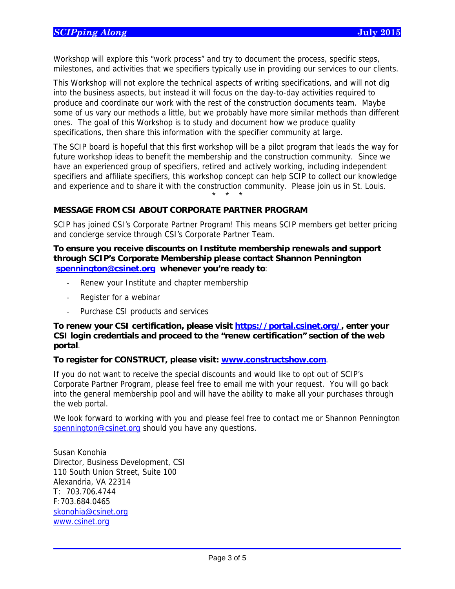Workshop will explore this "work process" and try to document the process, specific steps, milestones, and activities that we specifiers typically use in providing our services to our clients.

This Workshop will not explore the technical aspects of writing specifications, and will not dig into the business aspects, but instead it will focus on the day-to-day activities required to produce and coordinate our work with the rest of the construction documents team. Maybe some of us vary our methods a little, but we probably have more similar methods than different ones. The goal of this Workshop is to study and document how we produce quality specifications, then share this information with the specifier community at large.

The SCIP board is hopeful that this first workshop will be a pilot program that leads the way for future workshop ideas to benefit the membership and the construction community. Since we have an experienced group of specifiers, retired and actively working, including independent specifiers and affiliate specifiers, this workshop concept can help SCIP to collect our knowledge and experience and to share it with the construction community. Please join us in St. Louis. \* \* \*

## **MESSAGE FROM CSI ABOUT CORPORATE PARTNER PROGRAM**

SCIP has joined CSI's Corporate Partner Program! This means SCIP members get better pricing and concierge service through CSI's Corporate Partner Team.

#### **To ensure you receive discounts on Institute membership renewals and support through SCIP's Corporate Membership please contact Shannon Pennington spennington@csinet.org whenever you're ready to**:

- Renew your Institute and chapter membership
- ‐ Register for a webinar
- ‐ Purchase CSI products and services

## **To renew your CSI certification, please visit https://portal.csinet.org/, enter your CSI login credentials and proceed to the "renew certification" section of the web portal**.

#### **To register for CONSTRUCT, please visit: www.constructshow.com**.

If you do not want to receive the special discounts and would like to opt out of SCIP's Corporate Partner Program, please feel free to email me with your request. You will go back into the general membership pool and will have the ability to make all your purchases through the web portal.

We look forward to working with you and please feel free to contact me or Shannon Pennington spennington@csinet.org should you have any questions.

Susan Konohia Director, Business Development, CSI 110 South Union Street, Suite 100 Alexandria, VA 22314 T: 703.706.4744 F:703.684.0465 skonohia@csinet.org www.csinet.org

 $\overline{a}$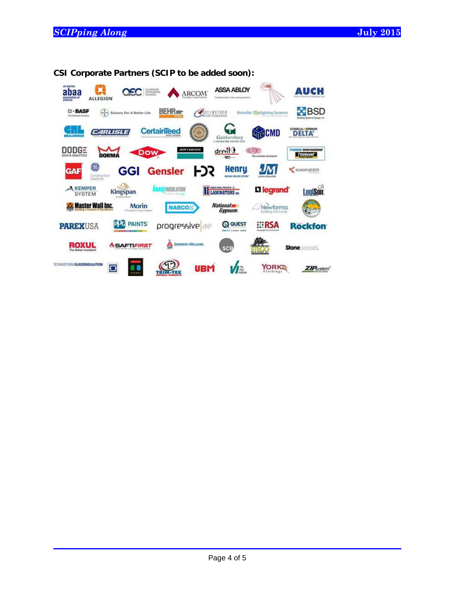$\overline{a}$ 

| air barrier<br>abaa<br>association of<br><b>ALLEGION</b>   | ALUMINUM<br>EXTRUDERS<br>COUNCIL                | <b>ARCOM</b>                               | <b>ASSA ABLOY</b><br>The global leaster in show opening exhalues | <b>ATAS</b>                                | Аисн                                              |
|------------------------------------------------------------|-------------------------------------------------|--------------------------------------------|------------------------------------------------------------------|--------------------------------------------|---------------------------------------------------|
| <b>Intrica</b><br><b>EI - BASF</b><br>The Chemical Dompany | Science For A Better Life                       | <b>BEHR</b> <sub>RRE</sub>                 | ETHER<br>Ħ<br>Titesi: suca                                       | <b>Bristolite</b> Daylighting Systems      | $\times$ BSD<br>Building Systems Design, Inc.     |
| <b>CALIBA</b>                                              | <b>ARLISL</b>                                   | CertainTeed                                | Gaithersburg                                                     | <b>PCMD</b>                                | <b>COSELLA DORKEN</b><br>DELTA                    |
| DODGE<br><b>DATA &amp; ANALYTICS</b>                       | <b>DOW</b><br>DORMA                             | <b>DOW CORNING</b>                         | dryvit 0<br><b>ROTT</b>                                          | <b>CHI PIND</b><br>The miracles of science | <b>Frankfile International</b><br><b>Titebond</b> |
| 138<br><b>GAF</b><br>Construction<br>Sealants              | GGI                                             | <b>Gensler</b>                             | Henry<br>FJS<br><b>BUILDING ENVILLENCEMENT</b>                   | Johns Manuill                              | KAWNEER                                           |
| <b>KEMPER</b><br><b>SYSTEM</b>                             | Kingspan.                                       | <b>INSULATION</b><br>It feel to just paint | DAVISA PRAID, PRODUCTS 12<br><b>ELAMINATORS</b>                  | <b>Lilegrand</b>                           | LogiSon:                                          |
| <b>Master Wall Inc.</b>                                    | <b>Morin</b><br><b>K Klegrann Kroup Cumpore</b> | <b>NABCO&amp;</b>                          | <b>National</b><br>Gypsum.                                       | Newforma<br>Building the future            |                                                   |
| <b>PAREXUSA</b>                                            | <b>PAINTS</b><br><b>PDC</b>                     | progressive ae                             | <b>Q QUEST</b>                                                   | <b>ERSA</b>                                | <b>Rockfon</b>                                    |
| ROXUL<br>The Better Insulation                             | <b><i>MSAFTIFIRST</i></b>                       | ó<br><b>SHERWIN-WILLIAMS</b>               | <b>SCB</b>                                                       | <b>Allegia dia</b>                         | <b>Stone</b>                                      |
| TECHNOFORM GLASSINSULATION                                 | c<br>1.1111                                     |                                            | UBM<br>I <sub>W</sub>                                            | YORKS<br>$h$ ings                          | <b>ZIP</b> system                                 |

**CSI Corporate Partners (SCIP to be added soon):**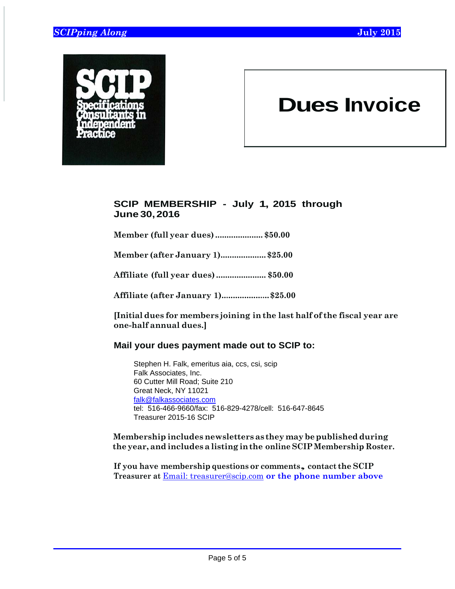$\overline{a}$ 



# **Dues Invoice**

# **SCIP MEMBERSHIP - July 1, 2015 through June 30, 2016**

**Member (full year dues) ..................... \$50.00**

**Member (after January 1).................... \$25.00**

**Affiliate (full year dues) ...................... \$50.00**

**Affiliate (after January 1)..................... \$25.00**

**[Initial dues for members joining in the last half of the fiscal year are one-half annual dues.]**

# **Mail your dues payment made out to SCIP to:**

Stephen H. Falk, emeritus aia, ccs, csi, scip Falk Associates, Inc. 60 Cutter Mill Road; Suite 210 Great Neck, NY 11021 falk@falkassociates.com tel: 516-466-9660/fax: 516-829-4278/cell: 516-647-8645 Treasurer 2015-16 SCIP

## **Membership includes newsletters as they may be published during the year, and includes a listing in the online SCIP Membership Roster.**

**If you have membership questions or comments, contact the SCIP Treasurer at** Email: treasurer@scip.com **or the phone number above**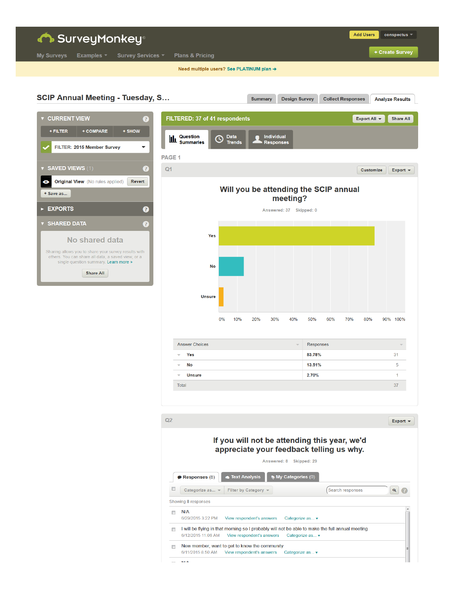| <b>Constant SurveyMonkey®</b><br>Examples $\overline{ }$<br><b>Survey Services *</b><br><b>My Surveys</b>                                           |                   | <b>Plans &amp; Pricing</b>               |                     |                                       |                         |                          |                  |                          |     | <b>Add Users</b>                |          | conspectus -<br>+ Create Survey |
|-----------------------------------------------------------------------------------------------------------------------------------------------------|-------------------|------------------------------------------|---------------------|---------------------------------------|-------------------------|--------------------------|------------------|--------------------------|-----|---------------------------------|----------|---------------------------------|
|                                                                                                                                                     |                   | Need multiple users? See PLATINUM plan → |                     |                                       |                         |                          |                  |                          |     |                                 |          |                                 |
| <b>SCIP Annual Meeting - Tuesday, S</b>                                                                                                             |                   |                                          |                     | <b>Summary</b>                        |                         | <b>Design Survey</b>     |                  | <b>Collect Responses</b> |     |                                 |          | <b>Analyze Results</b>          |
| <b>v CURRENT VIEW</b><br>3                                                                                                                          |                   | FILTERED: 37 of 41 respondents           |                     |                                       |                         |                          |                  |                          |     | Export All $\blacktriangledown$ |          | <b>Share All</b>                |
| + FILTER<br>+ COMPARE<br>+ SHOW                                                                                                                     |                   | Question                                 | <b>Data</b>         |                                       | <b>Individual</b>       |                          |                  |                          |     |                                 |          |                                 |
| FILTER: 2015 Member Survey<br>۰                                                                                                                     | <u>ևև</u>         | <b>Summaries</b>                         | (J<br><b>Trends</b> |                                       | <b>Responses</b>        |                          |                  |                          |     |                                 |          |                                 |
|                                                                                                                                                     | PAGE <sub>1</sub> |                                          |                     |                                       |                         |                          |                  |                          |     |                                 |          |                                 |
| <b>v SAVED VIEWS</b> $(1)$<br>Ø                                                                                                                     | Q <sub>1</sub>    |                                          |                     |                                       |                         |                          |                  |                          |     | <b>Customize</b>                |          | Export $\blacktriangledown$     |
| <b>Original View</b> (No rules applied)<br>Revert<br>◉<br>+ Save as                                                                                 |                   |                                          |                     | Will you be attending the SCIP annual |                         | meeting?                 |                  |                          |     |                                 |          |                                 |
| <b>EXPORTS</b><br>❼                                                                                                                                 |                   |                                          |                     |                                       | Answered: 37 Skipped: 0 |                          |                  |                          |     |                                 |          |                                 |
| <b>v SHARED DATA</b><br>Ø                                                                                                                           |                   |                                          |                     |                                       |                         |                          |                  |                          |     |                                 |          |                                 |
| No shared data                                                                                                                                      |                   | Yes                                      |                     |                                       |                         |                          |                  |                          |     |                                 |          |                                 |
| Sharing allows you to share your survey results with<br>others. You can share all data, a saved view, or a<br>single question summary. Learn more » |                   |                                          |                     |                                       |                         |                          |                  |                          |     |                                 |          |                                 |
| <b>Share All</b>                                                                                                                                    |                   | No                                       |                     |                                       |                         |                          |                  |                          |     |                                 |          |                                 |
|                                                                                                                                                     |                   | <b>Unsure</b>                            |                     |                                       |                         |                          |                  |                          |     |                                 |          |                                 |
|                                                                                                                                                     |                   |                                          | 0%<br>10%           | 20%                                   | 30%                     | 40%                      | 50%              | 60%                      | 70% | 80%                             | 90% 100% |                                 |
|                                                                                                                                                     |                   | <b>Answer Choices</b>                    |                     |                                       |                         | $\overline{\phantom{a}}$ | <b>Responses</b> |                          |     |                                 |          |                                 |
|                                                                                                                                                     |                   | Yes<br>$\overline{\mathbf{v}}$           |                     |                                       |                         |                          | 83.78%           |                          |     |                                 |          | 31                              |
|                                                                                                                                                     |                   | $\blacktriangledown$ No                  |                     |                                       |                         |                          | 13.51%           |                          |     |                                 |          | $\overline{5}$                  |
|                                                                                                                                                     |                   | $\overline{\phantom{a}}$ Unsure          |                     |                                       |                         |                          | 2.70%            |                          |     |                                 |          | $\mathbf{1}$                    |
|                                                                                                                                                     |                   | Total                                    |                     |                                       |                         |                          |                  |                          |     |                                 |          | 37                              |
|                                                                                                                                                     |                   |                                          |                     |                                       |                         |                          |                  |                          |     |                                 |          |                                 |
|                                                                                                                                                     | Q2                |                                          |                     |                                       |                         |                          |                  |                          |     |                                 |          | Export $\blacktriangledown$     |

## If you will not be attending this year, we'd appreciate your feedback telling us why.

|                                    | Answered: 8                                                                                     | Skipped: 29                    |                  |          |
|------------------------------------|-------------------------------------------------------------------------------------------------|--------------------------------|------------------|----------|
| Responses (8)                      | <b>Text Analysis</b>                                                                            | <b>My Categories (0)</b>       |                  |          |
| Categorize as $\blacktriangledown$ | Filter by Category $\blacktriangledown$                                                         |                                | Search responses | $\alpha$ |
| Showing 8 responses                |                                                                                                 |                                |                  |          |
| N/A                                | 6/29/2015 3:22 PM View respondent's answers                                                     | Categorize as $\mathbf{\cdot}$ |                  |          |
|                                    | I will be flying in that morning so I probably will not be able to make the full annual meeting |                                |                  |          |
| 6/12/2015 11:06 AM                 | View respondent's answers                                                                       | Categorize as ▼                |                  |          |
|                                    | New member, want to get to know the community                                                   |                                |                  |          |
|                                    | 6/11/2015 8:50 AM View respondent's answers                                                     | Categorize as ▼                |                  |          |
| <b>KI/A</b>                        |                                                                                                 |                                |                  |          |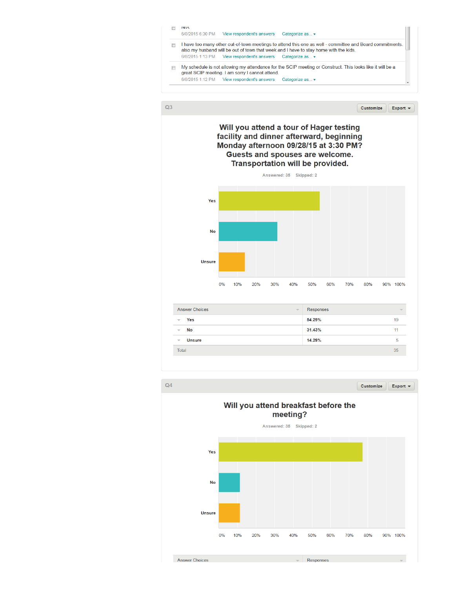



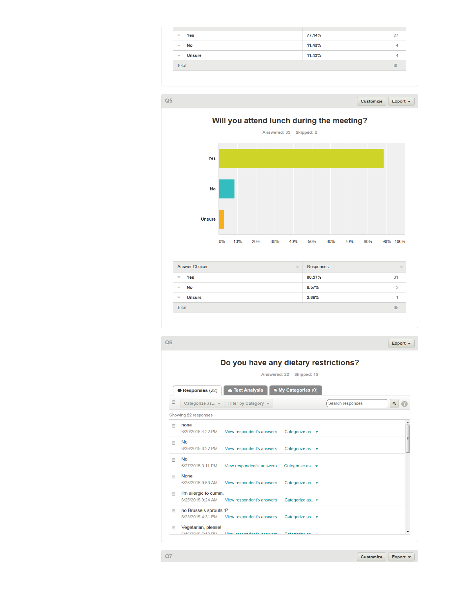| Yes<br>$\overline{\phantom{a}}$           | 77.14% | 27           |
|-------------------------------------------|--------|--------------|
| No<br>$\overline{\phantom{a}}$            | 11.43% | 4            |
| <b>Unsure</b><br>$\overline{\phantom{m}}$ | 11.43% | $\mathbf{A}$ |
| <b>Total</b>                              |        | 35           |

Customize

Export  $\blacktriangledown$ 

| ٠ |  |
|---|--|
|   |  |
|   |  |



| Yes<br>▼                                  | 88.57% | 31 |
|-------------------------------------------|--------|----|
| No<br>v                                   | 8.57%  |    |
| <b>Unsure</b><br>$\overline{\phantom{a}}$ | 2.86%  |    |
| <b>Total</b>                              |        | 35 |
|                                           |        |    |

```
Q6Export \starDo you have any dietary restrictions?
                                         Answered: 22 Skipped: 15
  Responses (22) C Text Analysis Wy Categories (0)
                                                                                                  \begin{array}{c} \mathbf{Q} \end{array}Categorize as... + Filter by Category +
                                                                      Search responses
Showing 22 responses
 none
      6/30/2015 4:22 PM View respondent's answers
                                                   Categorize as... ▼
 \blacksquare No
     6/29/2015 3:22 PM View respondent's answers
                                                   Categorize as...
 \blacksquare No
      6/27/2015 3:11 PM View respondent's answers
                                                   Categorize as... ▼
 None
      6/25/2015 9:58 AM    View respondent's answers
                                                   Categorize as... ▼
 I'm allergic to cumin.
     6/25/2015 9:24 AM    View respondent's answers    Categorize as... v
 no Brussels sprouts :P
      6/23/2015 4:31 PM View respondent's answers Categorize as... ▼
 Vegetarian, please!
      6/46/2045642 DM V6
```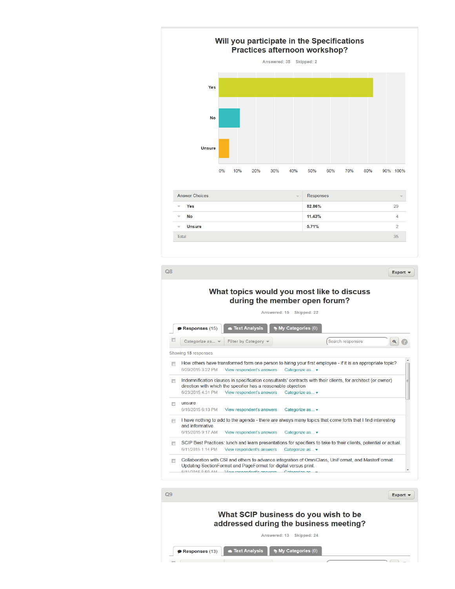

 $Q8$ Export  $\blacktriangledown$ What topics would you most like to discuss during the member open forum? Answered: 15 Skipped: 22 **Ext Analysis Wy Categories (0)**  $\bullet$  Responses (15) Categorize as... v Filter by Category v (Search responses  $Q$ Showing 15 responses How others have transformed form one person to hiring your first employee - if it is an appropriate topic? 6/29/2015 3:22 PM View respondent's answers Categorize as... Indemnification clauses in specification consultants' contracts with their clients, for architect (or owner) direction with which the specifier has a reasonable objection 6/23/2015 4:31 PM View respondent's answers Categorize as... ▼ ansure 6/16/2015 6:13 PM View respondent's answers Categorize as... I have nothing to add to the agenda - there are always many topics that come forth that I find interesting and informative. 6/15/2015 9:17 AM View respondent's answers Categorize as... ▼ SCIP Best Practices: lunch and learn presentations for specifiers to take to their clients, potential or actual. 6/11/2015 1:14 PM View respondent's answers Categorize as... ▼ Collaboration with CSI and others to advance integration of OmniClass, UniFormat, and MasterFormat. Updating SectionFormat and PageFormat for digital versus print.  $M$  **MA DALE OF ALL 11** 

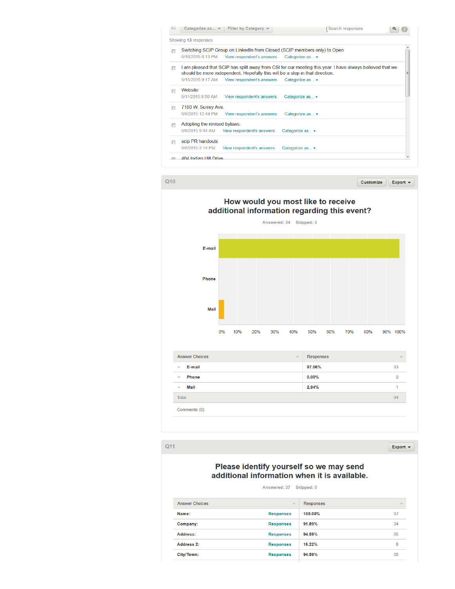|   |                              | Categorize as $\mathbf{v}$ Filter by Category $\mathbf{v}$                   | Search responses                                                                                           |  |
|---|------------------------------|------------------------------------------------------------------------------|------------------------------------------------------------------------------------------------------------|--|
|   | Showing 13 responses         |                                                                              |                                                                                                            |  |
|   | 6/16/2015 6:13 PM            | View respondent's answers                                                    | Switching SCIP Group on LinkedIn from Closed (SCIP members only) to Open<br>Categorize as $\mathbf{\cdot}$ |  |
| П |                              | should be more independent. Hopefully this will be a step in that direction. | I am pleased that SCIP has split away from CSI for our meeting this year. I have always believed that we   |  |
|   | 6/15/2015 9:17 AM            | View respondent's answers                                                    | Categorize as v                                                                                            |  |
|   | Website                      |                                                                              |                                                                                                            |  |
|   | 6/11/2015 8:50 AM            | View respondent's answers                                                    | Categorize as $\mathbf{v}$                                                                                 |  |
|   | 7180 W. Surrey Ave.          |                                                                              |                                                                                                            |  |
|   | 6/9/2015 12:49 PM            | View respondent's answers                                                    | Categorize as ▼                                                                                            |  |
|   | Adopting the revised bylaws. |                                                                              |                                                                                                            |  |
|   |                              | 6/9/2015 9:44 AM View respondent's answers                                   | Categorize as $\mathbf{\cdot}$                                                                             |  |
|   | scip PR handouts             |                                                                              |                                                                                                            |  |
|   | 6/8/2015 3:14 PM             | View respondent's answers                                                    | Categorize as ▼                                                                                            |  |
|   | 404 Indian Hill Drive        |                                                                              |                                                                                                            |  |

 $Q10$ 

Customize Export  $\star$ 



 $Q11$ 

Export  $\star$ 

## Please identify yourself so we may send additional information when it is available.

Answered: 37 Skipped: 0

| <b>Answer Choices</b> | $\overline{\mathbf{v}}$ | Responses | $\overline{\mathbf{v}}$ |
|-----------------------|-------------------------|-----------|-------------------------|
| Name:                 | <b>Responses</b>        | 100.00%   | 37                      |
| Company:              | <b>Responses</b>        | 91.89%    | 34                      |
| Address:              | <b>Responses</b>        | 94.59%    | 35                      |
| Address 2:            | <b>Responses</b>        | 16.22%    | 6                       |
| City/Town:            | <b>Responses</b>        | 94.59%    | 35                      |